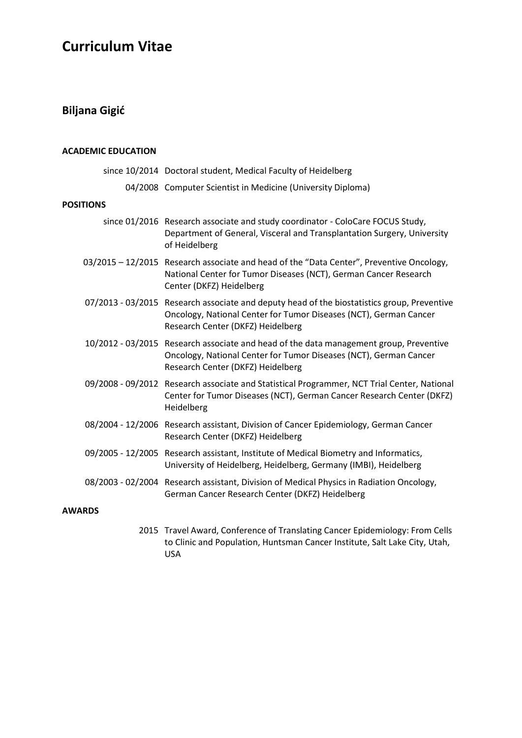# Curriculum Vitae

### Biljana Gigić

#### ACADEMIC EDUCATION

|                  | since 10/2014 Doctoral student, Medical Faculty of Heidelberg                                                                                                                                         |
|------------------|-------------------------------------------------------------------------------------------------------------------------------------------------------------------------------------------------------|
|                  | 04/2008 Computer Scientist in Medicine (University Diploma)                                                                                                                                           |
| <b>POSITIONS</b> |                                                                                                                                                                                                       |
|                  | since 01/2016 Research associate and study coordinator - ColoCare FOCUS Study,<br>Department of General, Visceral and Transplantation Surgery, University<br>of Heidelberg                            |
|                  | 03/2015 - 12/2015 Research associate and head of the "Data Center", Preventive Oncology,<br>National Center for Tumor Diseases (NCT), German Cancer Research<br>Center (DKFZ) Heidelberg              |
|                  | 07/2013 - 03/2015 Research associate and deputy head of the biostatistics group, Preventive<br>Oncology, National Center for Tumor Diseases (NCT), German Cancer<br>Research Center (DKFZ) Heidelberg |
|                  | 10/2012 - 03/2015 Research associate and head of the data management group, Preventive<br>Oncology, National Center for Tumor Diseases (NCT), German Cancer<br>Research Center (DKFZ) Heidelberg      |
|                  | 09/2008 - 09/2012 Research associate and Statistical Programmer, NCT Trial Center, National<br>Center for Tumor Diseases (NCT), German Cancer Research Center (DKFZ)<br>Heidelberg                    |
|                  | 08/2004 - 12/2006 Research assistant, Division of Cancer Epidemiology, German Cancer<br>Research Center (DKFZ) Heidelberg                                                                             |
|                  | 09/2005 - 12/2005 Research assistant, Institute of Medical Biometry and Informatics,<br>University of Heidelberg, Heidelberg, Germany (IMBI), Heidelberg                                              |
|                  | 08/2003 - 02/2004 Research assistant, Division of Medical Physics in Radiation Oncology,<br>German Cancer Research Center (DKFZ) Heidelberg                                                           |

### AWARDS

2015 Travel Award, Conference of Translating Cancer Epidemiology: From Cells to Clinic and Population, Huntsman Cancer Institute, Salt Lake City, Utah, USA